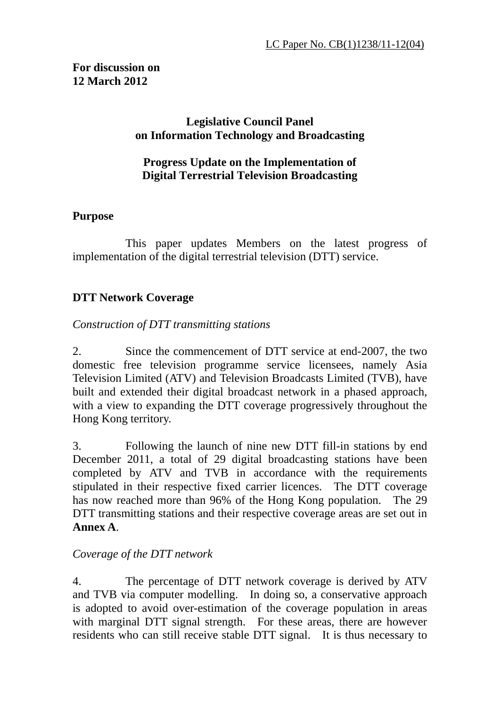## **For discussion on 12 March 2012**

## **Legislative Council Panel on Information Technology and Broadcasting**

## **Progress Update on the Implementation of Digital Terrestrial Television Broadcasting**

## **Purpose**

 This paper updates Members on the latest progress of implementation of the digital terrestrial television (DTT) service.

## **DTT Network Coverage**

## *Construction of DTT transmitting stations*

2. Since the commencement of DTT service at end-2007, the two domestic free television programme service licensees, namely Asia Television Limited (ATV) and Television Broadcasts Limited (TVB), have built and extended their digital broadcast network in a phased approach, with a view to expanding the DTT coverage progressively throughout the Hong Kong territory.

3. Following the launch of nine new DTT fill-in stations by end December 2011, a total of 29 digital broadcasting stations have been completed by ATV and TVB in accordance with the requirements stipulated in their respective fixed carrier licences. The DTT coverage has now reached more than 96% of the Hong Kong population. The 29 DTT transmitting stations and their respective coverage areas are set out in **Annex A**.

## *Coverage of the DTT network*

4. The percentage of DTT network coverage is derived by ATV and TVB via computer modelling. In doing so, a conservative approach is adopted to avoid over-estimation of the coverage population in areas with marginal DTT signal strength. For these areas, there are however residents who can still receive stable DTT signal. It is thus necessary to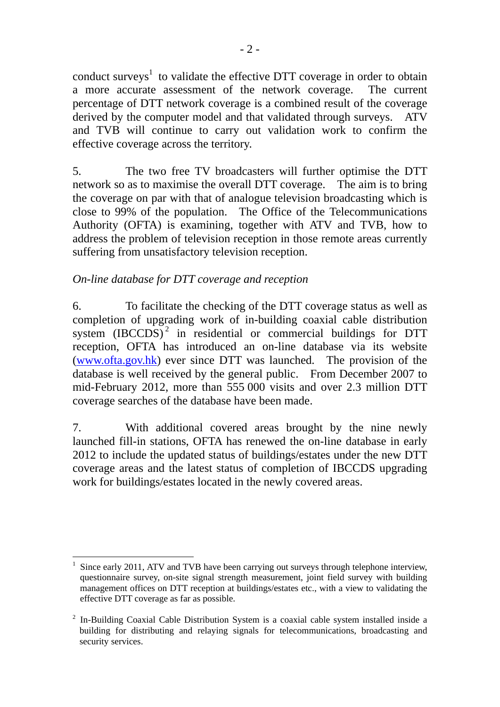conduct surveys<sup>1</sup> to validate the effective DTT coverage in order to obtain a more accurate assessment of the network coverage. The current percentage of DTT network coverage is a combined result of the coverage derived by the computer model and that validated through surveys. ATV and TVB will continue to carry out validation work to confirm the effective coverage across the territory.

5. The two free TV broadcasters will further optimise the DTT network so as to maximise the overall DTT coverage. The aim is to bring the coverage on par with that of analogue television broadcasting which is close to 99% of the population. The Office of the Telecommunications Authority (OFTA) is examining, together with ATV and TVB, how to address the problem of television reception in those remote areas currently suffering from unsatisfactory television reception.

## *On-line database for DTT coverage and reception*

6. To facilitate the checking of the DTT coverage status as well as completion of upgrading work of in-building coaxial cable distribution system  $(IBCCDS)^2$  in residential or commercial buildings for DTT reception, OFTA has introduced an on-line database via its website (www.ofta.gov.hk) ever since DTT was launched. The provision of the database is well received by the general public. From December 2007 to mid-February 2012, more than 555 000 visits and over 2.3 million DTT coverage searches of the database have been made.

7. With additional covered areas brought by the nine newly launched fill-in stations, OFTA has renewed the on-line database in early 2012 to include the updated status of buildings/estates under the new DTT coverage areas and the latest status of completion of IBCCDS upgrading work for buildings/estates located in the newly covered areas.

 $\overline{a}$ 1 Since early 2011, ATV and TVB have been carrying out surveys through telephone interview, questionnaire survey, on-site signal strength measurement, joint field survey with building management offices on DTT reception at buildings/estates etc., with a view to validating the effective DTT coverage as far as possible.

<sup>&</sup>lt;sup>2</sup> In-Building Coaxial Cable Distribution System is a coaxial cable system installed inside a building for distributing and relaying signals for telecommunications, broadcasting and security services.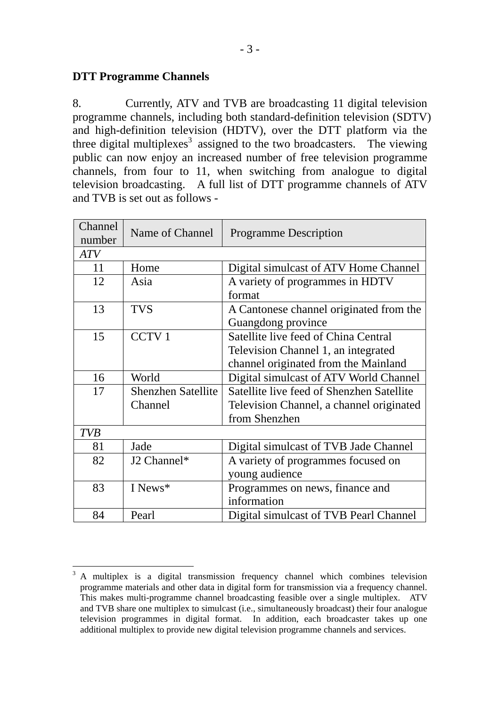### **DTT Programme Channels**

8. Currently, ATV and TVB are broadcasting 11 digital television programme channels, including both standard-definition television (SDTV) and high-definition television (HDTV), over the DTT platform via the three digital multiplexes<sup>3</sup> assigned to the two broadcasters. The viewing public can now enjoy an increased number of free television programme channels, from four to 11, when switching from analogue to digital television broadcasting. A full list of DTT programme channels of ATV and TVB is set out as follows -

| Channel                                                                      | Name of Channel                                 | <b>Programme Description</b>             |  |  |  |
|------------------------------------------------------------------------------|-------------------------------------------------|------------------------------------------|--|--|--|
| number                                                                       |                                                 |                                          |  |  |  |
| <b>ATV</b>                                                                   |                                                 |                                          |  |  |  |
| 11                                                                           | Home                                            | Digital simulcast of ATV Home Channel    |  |  |  |
| 12                                                                           | Asia                                            | A variety of programmes in HDTV          |  |  |  |
|                                                                              |                                                 | format                                   |  |  |  |
| 13                                                                           | <b>TVS</b>                                      | A Cantonese channel originated from the  |  |  |  |
|                                                                              |                                                 | Guangdong province                       |  |  |  |
| 15                                                                           | <b>CCTV1</b>                                    | Satellite live feed of China Central     |  |  |  |
|                                                                              |                                                 | Television Channel 1, an integrated      |  |  |  |
|                                                                              |                                                 | channel originated from the Mainland     |  |  |  |
| 16                                                                           | World<br>Digital simulcast of ATV World Channel |                                          |  |  |  |
| Satellite live feed of Shenzhen Satellite<br>17<br><b>Shenzhen Satellite</b> |                                                 |                                          |  |  |  |
|                                                                              | Channel                                         | Television Channel, a channel originated |  |  |  |
|                                                                              |                                                 | from Shenzhen                            |  |  |  |
| <b>TVB</b>                                                                   |                                                 |                                          |  |  |  |
| 81                                                                           | Jade                                            | Digital simulcast of TVB Jade Channel    |  |  |  |
| 82<br>J2 Channel*                                                            |                                                 | A variety of programmes focused on       |  |  |  |
|                                                                              |                                                 | young audience                           |  |  |  |
| 83<br>I News*                                                                |                                                 | Programmes on news, finance and          |  |  |  |
|                                                                              |                                                 | information                              |  |  |  |
| 84                                                                           | Pearl                                           | Digital simulcast of TVB Pearl Channel   |  |  |  |

 $\frac{1}{3}$  A multiplex is a digital transmission frequency channel which combines television programme materials and other data in digital form for transmission via a frequency channel. This makes multi-programme channel broadcasting feasible over a single multiplex. ATV and TVB share one multiplex to simulcast (i.e., simultaneously broadcast) their four analogue television programmes in digital format. In addition, each broadcaster takes up one additional multiplex to provide new digital television programme channels and services.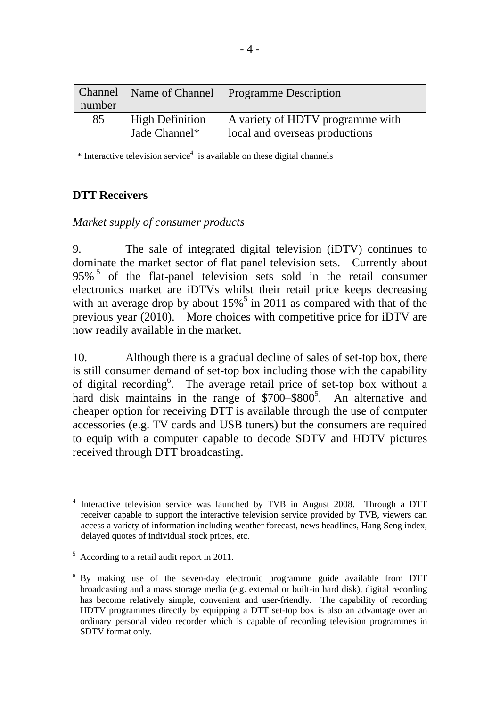|        | <b>Channel</b>   Name of Channel | <b>Programme Description</b>     |  |  |
|--------|----------------------------------|----------------------------------|--|--|
| number |                                  |                                  |  |  |
| 85     | <b>High Definition</b>           | A variety of HDTV programme with |  |  |
|        | Jade Channel*                    | local and overseas productions   |  |  |

 $*$  Interactive television service<sup>4</sup> is available on these digital channels

## **DTT Receivers**

#### *Market supply of consumer products*

9. The sale of integrated digital television (iDTV) continues to dominate the market sector of flat panel television sets. Currently about 95%<sup>5</sup> of the flat-panel television sets sold in the retail consumer electronics market are iDTVs whilst their retail price keeps decreasing with an average drop by about  $15\%$ <sup>5</sup> in 2011 as compared with that of the previous year (2010). More choices with competitive price for iDTV are now readily available in the market.

10. Although there is a gradual decline of sales of set-top box, there is still consumer demand of set-top box including those with the capability of digital recording<sup>6</sup>. The average retail price of set-top box without a hard disk maintains in the range of  $$700-$800<sup>5</sup>$ . An alternative and cheaper option for receiving DTT is available through the use of computer accessories (e.g. TV cards and USB tuners) but the consumers are required to equip with a computer capable to decode SDTV and HDTV pictures received through DTT broadcasting.

 $\overline{a}$ 4 Interactive television service was launched by TVB in August 2008. Through a DTT receiver capable to support the interactive television service provided by TVB, viewers can access a variety of information including weather forecast, news headlines, Hang Seng index, delayed quotes of individual stock prices, etc.

<sup>&</sup>lt;sup>5</sup> According to a retail audit report in 2011.

<sup>&</sup>lt;sup>6</sup> By making use of the seven-day electronic programme guide available from DTT broadcasting and a mass storage media (e.g. external or built-in hard disk), digital recording has become relatively simple, convenient and user-friendly. The capability of recording HDTV programmes directly by equipping a DTT set-top box is also an advantage over an ordinary personal video recorder which is capable of recording television programmes in SDTV format only.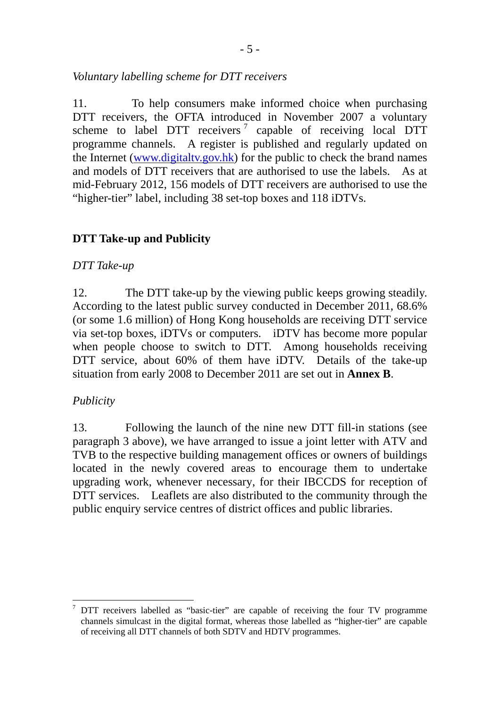*Voluntary labelling scheme for DTT receivers* 

11. To help consumers make informed choice when purchasing DTT receivers, the OFTA introduced in November 2007 a voluntary scheme to label DTT receivers<sup>7</sup> capable of receiving local DTT programme channels. A register is published and regularly updated on the Internet (www.digitaltv.gov.hk) for the public to check the brand names and models of DTT receivers that are authorised to use the labels. As at mid-February 2012, 156 models of DTT receivers are authorised to use the "higher-tier" label, including 38 set-top boxes and 118 iDTVs.

## **DTT Take-up and Publicity**

## *DTT Take-up*

12. The DTT take-up by the viewing public keeps growing steadily. According to the latest public survey conducted in December 2011, 68.6% (or some 1.6 million) of Hong Kong households are receiving DTT service via set-top boxes, iDTVs or computers. iDTV has become more popular when people choose to switch to DTT. Among households receiving DTT service, about 60% of them have iDTV. Details of the take-up situation from early 2008 to December 2011 are set out in **Annex B**.

## *Publicity*

13. Following the launch of the nine new DTT fill-in stations (see paragraph 3 above), we have arranged to issue a joint letter with ATV and TVB to the respective building management offices or owners of buildings located in the newly covered areas to encourage them to undertake upgrading work, whenever necessary, for their IBCCDS for reception of DTT services. Leaflets are also distributed to the community through the public enquiry service centres of district offices and public libraries.

 $\overline{a}$ 7 DTT receivers labelled as "basic-tier" are capable of receiving the four TV programme channels simulcast in the digital format, whereas those labelled as "higher-tier" are capable of receiving all DTT channels of both SDTV and HDTV programmes.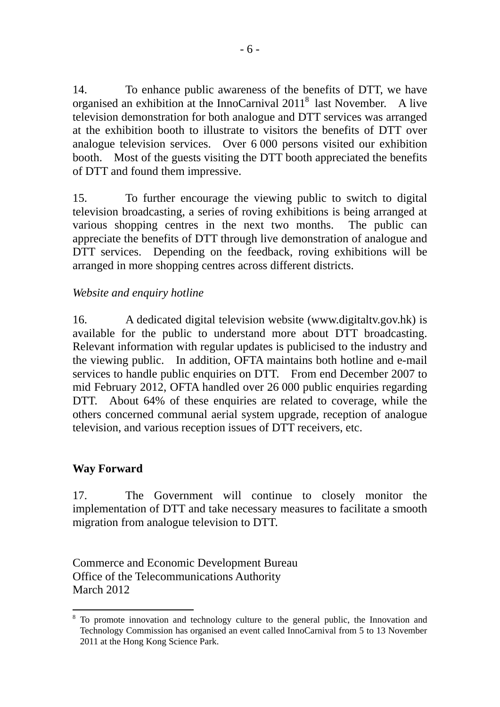14. To enhance public awareness of the benefits of DTT, we have organised an exhibition at the InnoCarnival 2011<sup>8</sup> last November. A live television demonstration for both analogue and DTT services was arranged at the exhibition booth to illustrate to visitors the benefits of DTT over analogue television services. Over 6 000 persons visited our exhibition booth. Most of the guests visiting the DTT booth appreciated the benefits of DTT and found them impressive.

15. To further encourage the viewing public to switch to digital television broadcasting, a series of roving exhibitions is being arranged at various shopping centres in the next two months. The public can appreciate the benefits of DTT through live demonstration of analogue and DTT services. Depending on the feedback, roving exhibitions will be arranged in more shopping centres across different districts.

## *Website and enquiry hotline*

16. A dedicated digital television website (www.digitaltv.gov.hk) is available for the public to understand more about DTT broadcasting. Relevant information with regular updates is publicised to the industry and the viewing public. In addition, OFTA maintains both hotline and e-mail services to handle public enquiries on DTT. From end December 2007 to mid February 2012, OFTA handled over 26 000 public enquiries regarding DTT. About 64% of these enquiries are related to coverage, while the others concerned communal aerial system upgrade, reception of analogue television, and various reception issues of DTT receivers, etc.

## **Way Forward**

17. The Government will continue to closely monitor the implementation of DTT and take necessary measures to facilitate a smooth migration from analogue television to DTT.

Commerce and Economic Development Bureau Office of the Telecommunications Authority March 2012

 $\overline{a}$ 8 To promote innovation and technology culture to the general public, the Innovation and Technology Commission has organised an event called InnoCarnival from 5 to 13 November 2011 at the Hong Kong Science Park.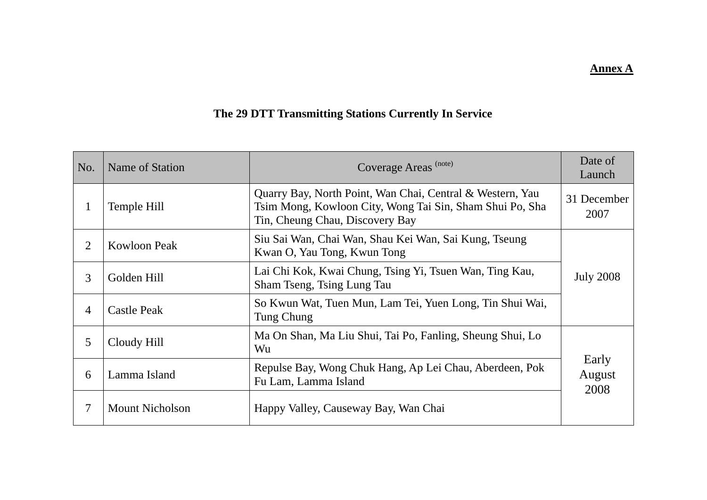#### **Annex A**

# **The 29 DTT Transmitting Stations Currently In Service**

| No.            | Name of Station                                                                                 | Coverage Areas <sup>(note)</sup>                                                                                                                         | Date of<br>Launch       |
|----------------|-------------------------------------------------------------------------------------------------|----------------------------------------------------------------------------------------------------------------------------------------------------------|-------------------------|
| 1              | Temple Hill                                                                                     | Quarry Bay, North Point, Wan Chai, Central & Western, Yau<br>Tsim Mong, Kowloon City, Wong Tai Sin, Sham Shui Po, Sha<br>Tin, Cheung Chau, Discovery Bay | 31 December<br>2007     |
| $\overline{2}$ | <b>Kowloon Peak</b>                                                                             | Siu Sai Wan, Chai Wan, Shau Kei Wan, Sai Kung, Tseung<br>Kwan O, Yau Tong, Kwun Tong                                                                     |                         |
| 3              | Golden Hill                                                                                     | Lai Chi Kok, Kwai Chung, Tsing Yi, Tsuen Wan, Ting Kau,<br>Sham Tseng, Tsing Lung Tau                                                                    | <b>July 2008</b>        |
| $\overline{4}$ | <b>Castle Peak</b>                                                                              | So Kwun Wat, Tuen Mun, Lam Tei, Yuen Long, Tin Shui Wai,<br>Tung Chung                                                                                   |                         |
| 5              | Cloudy Hill                                                                                     | Ma On Shan, Ma Liu Shui, Tai Po, Fanling, Sheung Shui, Lo<br>Wu                                                                                          |                         |
| 6              | Repulse Bay, Wong Chuk Hang, Ap Lei Chau, Aberdeen, Pok<br>Lamma Island<br>Fu Lam, Lamma Island |                                                                                                                                                          | Early<br>August<br>2008 |
| 7              | <b>Mount Nicholson</b>                                                                          | Happy Valley, Causeway Bay, Wan Chai                                                                                                                     |                         |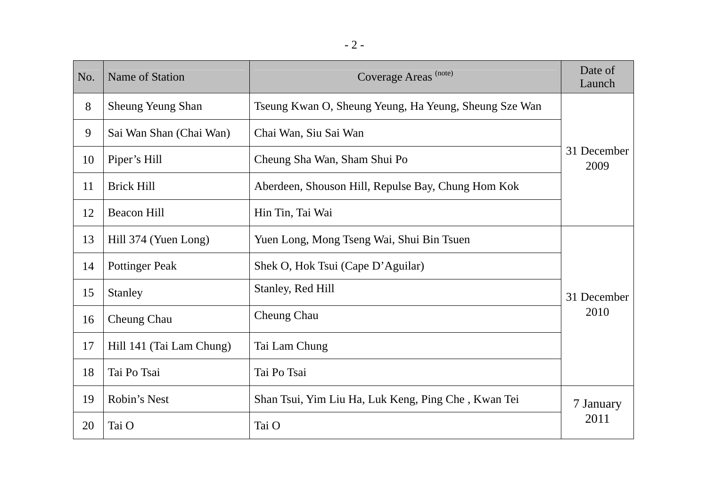| No. | Name of Station                                            | Coverage Areas (note)                                 | Date of<br>Launch   |  |  |
|-----|------------------------------------------------------------|-------------------------------------------------------|---------------------|--|--|
| 8   | <b>Sheung Yeung Shan</b>                                   | Tseung Kwan O, Sheung Yeung, Ha Yeung, Sheung Sze Wan | 31 December<br>2009 |  |  |
| 9   | Sai Wan Shan (Chai Wan)                                    | Chai Wan, Siu Sai Wan                                 |                     |  |  |
| 10  | Piper's Hill                                               | Cheung Sha Wan, Sham Shui Po                          |                     |  |  |
| 11  | <b>Brick Hill</b>                                          | Aberdeen, Shouson Hill, Repulse Bay, Chung Hom Kok    |                     |  |  |
| 12  | <b>Beacon Hill</b>                                         | Hin Tin, Tai Wai                                      |                     |  |  |
| 13  | Hill 374 (Yuen Long)                                       | Yuen Long, Mong Tseng Wai, Shui Bin Tsuen             |                     |  |  |
| 14  | Shek O, Hok Tsui (Cape D'Aguilar)<br><b>Pottinger Peak</b> |                                                       |                     |  |  |
| 15  | Stanley                                                    | Stanley, Red Hill                                     | 31 December         |  |  |
| 16  | <b>Cheung Chau</b>                                         | <b>Cheung Chau</b>                                    | 2010                |  |  |
| 17  | Hill 141 (Tai Lam Chung)<br>Tai Lam Chung                  |                                                       |                     |  |  |
| 18  | Tai Po Tsai<br>Tai Po Tsai                                 |                                                       |                     |  |  |
| 19  | Robin's Nest                                               | Shan Tsui, Yim Liu Ha, Luk Keng, Ping Che, Kwan Tei   | 7 January           |  |  |
| 20  | Tai O<br>Tai O                                             |                                                       | 2011                |  |  |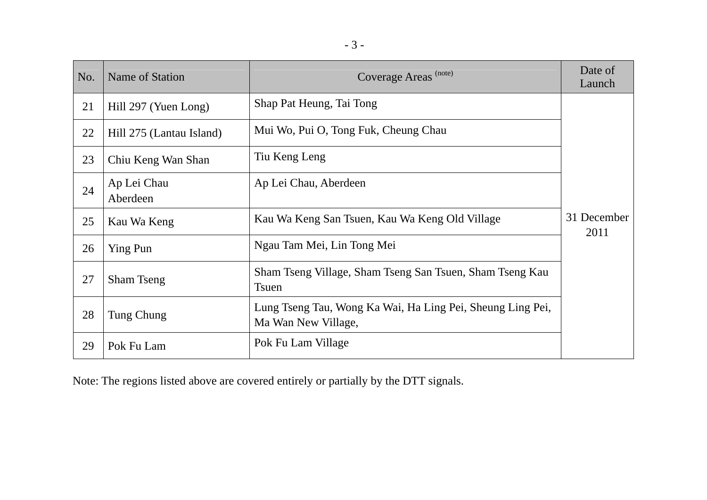| n e s        |  |
|--------------|--|
| ۰.<br>-<br>v |  |

| No. | Name of Station                                               | Coverage Areas <sup>(note)</sup>                                                  | Date of<br>Launch   |
|-----|---------------------------------------------------------------|-----------------------------------------------------------------------------------|---------------------|
| 21  | Hill 297 (Yuen Long)                                          | Shap Pat Heung, Tai Tong                                                          |                     |
| 22  | Hill 275 (Lantau Island)                                      | Mui Wo, Pui O, Tong Fuk, Cheung Chau                                              |                     |
| 23  | Chiu Keng Wan Shan                                            | Tiu Keng Leng                                                                     |                     |
| 24  | Ap Lei Chau<br>Aberdeen                                       | Ap Lei Chau, Aberdeen                                                             |                     |
| 25  | Kau Wa Keng San Tsuen, Kau Wa Keng Old Village<br>Kau Wa Keng |                                                                                   | 31 December<br>2011 |
| 26  | Ying Pun                                                      | Ngau Tam Mei, Lin Tong Mei                                                        |                     |
| 27  | <b>Sham Tseng</b>                                             | Sham Tseng Village, Sham Tseng San Tsuen, Sham Tseng Kau<br><b>T</b> suen         |                     |
| 28  | Tung Chung                                                    | Lung Tseng Tau, Wong Ka Wai, Ha Ling Pei, Sheung Ling Pei,<br>Ma Wan New Village, |                     |
| 29  | Pok Fu Lam                                                    | Pok Fu Lam Village                                                                |                     |

Note: The regions listed above are covered entirely or partially by the DTT signals.